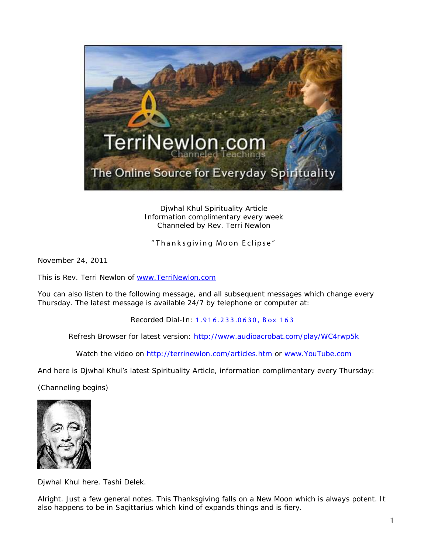

Djwhal Khul Spirituality Article Information complimentary every week Channeled by Rev. Terri Newlon

" Thank sgiving Moon Eclipse"

November 24, 2011

This is Rev. Terri Newlon of [www.TerriNewlon.com](http://www.terrinewlon.com/)

You can also listen to the following message, and all subsequent messages which change every Thursday. The latest message is available 24/7 by telephone or computer at:

Recorded Dial-In: 1.916.233.0630, Box 163

Refresh Browser for latest version: <http://www.audioacrobat.com/play/WC4rwp5k>

Watch the video on<http://terrinewlon.com/articles.htm> or [www.YouTube.com](http://www.youtube.com/)

And here is Djwhal Khul's latest Spirituality Article, information complimentary every Thursday:

(Channeling begins)



Djwhal Khul here. Tashi Delek.

Alright. Just a few general notes. This Thanksgiving falls on a New Moon which is always potent. It also happens to be in Sagittarius which kind of expands things and is fiery.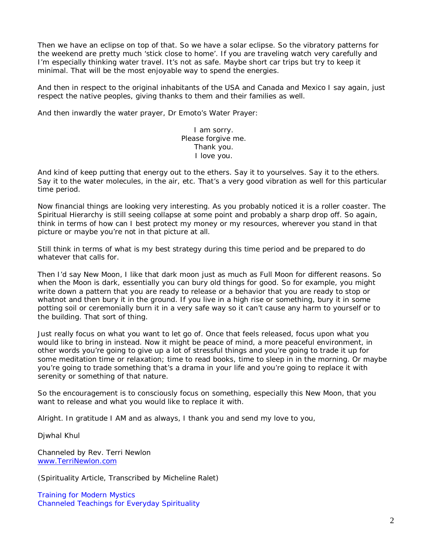Then we have an eclipse on top of that. So we have a solar eclipse. So the vibratory patterns for the weekend are pretty much 'stick close to home'. If you are traveling watch very carefully and I'm especially thinking water travel. It's not as safe. Maybe short car trips but try to keep it minimal. That will be the most enjoyable way to spend the energies.

And then in respect to the original inhabitants of the USA and Canada and Mexico I say again, just respect the native peoples, giving thanks to them and their families as well.

And then inwardly the water prayer, Dr Emoto's Water Prayer:

I am sorry. Please forgive me. Thank you. I love you.

And kind of keep putting that energy out to the ethers. Say it to yourselves. Say it to the ethers. Say it to the water molecules, in the air, etc. That's a very good vibration as well for this particular time period.

Now financial things are looking very interesting. As you probably noticed it is a roller coaster. The Spiritual Hierarchy is still seeing collapse at some point and probably a sharp drop off. So again, think in terms of how can I best protect my money or my resources, wherever you stand in that picture or maybe you're not in that picture at all.

Still think in terms of what is my best strategy during this time period and be prepared to do whatever that calls for.

Then I'd say New Moon, I like that dark moon just as much as Full Moon for different reasons. So when the Moon is dark, essentially you can bury old things for good. So for example, you might write down a pattern that you are ready to release or a behavior that you are ready to stop or whatnot and then bury it in the ground. If you live in a high rise or something, bury it in some potting soil or ceremonially burn it in a very safe way so it can't cause any harm to yourself or to the building. That sort of thing.

Just really focus on what you want to let go of. Once that feels released, focus upon what you would like to bring in instead. Now it might be peace of mind, a more peaceful environment, in other words you're going to give up a lot of stressful things and you're going to trade it up for some meditation time or relaxation; time to read books, time to sleep in in the morning. Or maybe you're going to trade something that's a drama in your life and you're going to replace it with serenity or something of that nature.

So the encouragement is to consciously focus on something, especially this New Moon, that you want to release and what you would like to replace it with.

Alright. In gratitude I AM and as always, I thank you and send my love to you,

Djwhal Khul

Channeled by Rev. Terri Newlon [www.TerriNewlon.com](http://www.terrinewlon.com/)

(Spirituality Article, Transcribed by Micheline Ralet)

Training for Modern Mystics [Channeled Teachings for Everyday Spirituality](http://www.terrinewlon.com/)